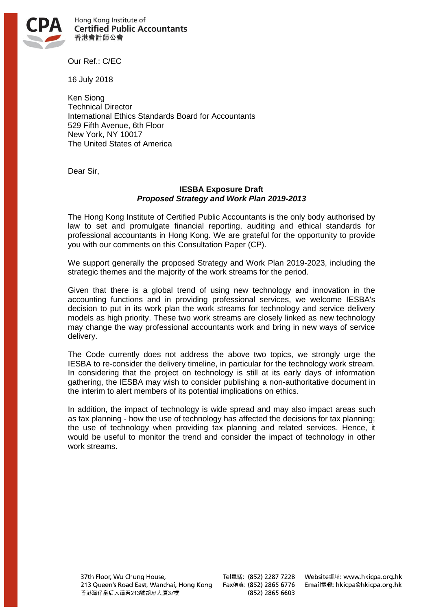

Hong Kong Institute of **Certified Public Accountants** 香港會計師公會

Our Ref.: C/EC

16 July 2018

Ken Siong Technical Director International Ethics Standards Board for Accountants 529 Fifth Avenue, 6th Floor New York, NY 10017 The United States of America

Dear Sir,

## **IESBA Exposure Draft** *Proposed Strategy and Work Plan 2019-2013*

The Hong Kong Institute of Certified Public Accountants is the only body authorised by law to set and promulgate financial reporting, auditing and ethical standards for professional accountants in Hong Kong. We are grateful for the opportunity to provide you with our comments on this Consultation Paper (CP).

We support generally the proposed Strategy and Work Plan 2019-2023, including the strategic themes and the majority of the work streams for the period.

Given that there is a global trend of using new technology and innovation in the accounting functions and in providing professional services, we welcome IESBA's decision to put in its work plan the work streams for technology and service delivery models as high priority. These two work streams are closely linked as new technology may change the way professional accountants work and bring in new ways of service delivery.

The Code currently does not address the above two topics, we strongly urge the IESBA to re-consider the delivery timeline, in particular for the technology work stream. In considering that the project on technology is still at its early days of information gathering, the IESBA may wish to consider publishing a non-authoritative document in the interim to alert members of its potential implications on ethics.

In addition, the impact of technology is wide spread and may also impact areas such as tax planning - how the use of technology has affected the decisions for tax planning; the use of technology when providing tax planning and related services. Hence, it would be useful to monitor the trend and consider the impact of technology in other work streams.

37th Floor, Wu Chung House, 213 Queen's Road East, Wanchai, Hong Kong Fax傳真: (852) 2865 6776 香港灣仔皇后大道東213號胡忠大廈37樓

Tel電話: (852) 2287 7228 (852) 2865 6603

Website網址: www.hkicpa.org.hk Email電郵: hkicpa@hkicpa.org.hk